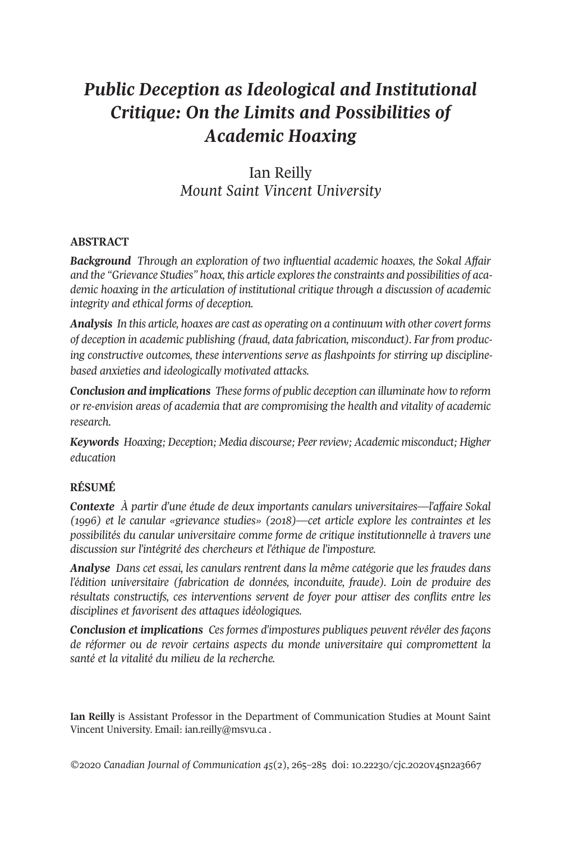# *Public Deception as Ideological and Institutional Critique: On the Limits and Possibilities of Academic Hoaxing*

Ian Reilly *Mount Saint Vincent University*

## **ABSTRACT**

*Background Through an exploration of two influential academic hoaxes, the Sokal Affair and the "Grievance Studies" hoax, this article exploresthe constraints and possibilities of academic hoaxing in the articulation of institutional critique through a discussion of academic integrity and ethical forms of deception.*

*Analysis In this article, hoaxes are cast as operating on a continuum with other covert forms of deception in academic publishing (fraud, data fabrication, misconduct). Far from producing constructive outcomes, these interventions serve as flashpoints for stirring up disciplinebased anxieties and ideologically motivated attacks.*

*Conclusion and implications These forms of public deception can illuminate how to reform or re-envision areas of academia that are compromising the health and vitality of academic research.*

*Keywords Hoaxing; Deception; Media discourse; Peerreview; Academic misconduct; Higher education*

# **RÉSUMÉ**

*Contexte À partir d'une étude de deux importants canulars universitaires—l'affaire Sokal (1996) et le canular «grievance studies» (2018)—cet article explore les contraintes et les possibilités du canular universitaire comme forme de critique institutionnelle à travers une discussion sur l'intégrité des chercheurs et l'éthique de l'imposture.*

*Analyse Dans cet essai, les canulars rentrent dans la même catégorie que les fraudes dans l'édition universitaire (fabrication de données, inconduite, fraude). Loin de produire des résultats constructifs, ces interventions servent de foyer pour attiser des conflits entre les disciplines et favorisent des attaques idéologiques.*

*Conclusion et implications Ces formes d'impostures publiques peuvent révéler des façons de réformer ou de revoir certains aspects du monde universitaire qui compromettent la santé et la vitalité du milieu de la recherche.*

**Ian Reilly** is Assistant Professor in the Department of Communication Studies at Mount Saint Vincent University. Email: [ian.reilly@msvu.ca](mailto:ian.reilly@msvu.ca) .

*©*2020 *Canadian Journal of [Communication](http://www.cjc-online.ca) 45*(2), 265–285 doi: [10.22230/cjc.2020v45n2a3667](https://doi.org/10.22230/cjc.2020v45n2a3667)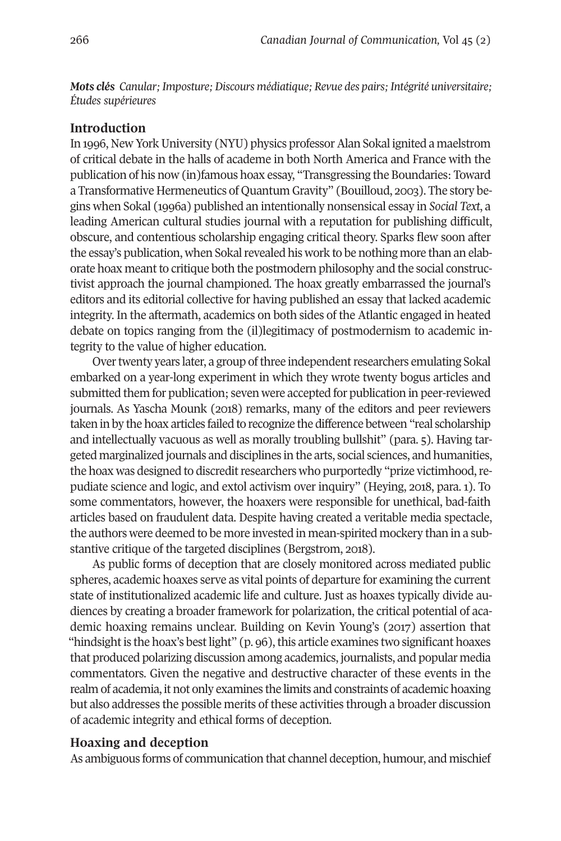*Mots clés Canular; Imposture; Discours médiatique; Revue des pairs; Intégrité universitaire; Études supérieures*

#### **Introduction**

In 1996, New York University (NYU) physics professor Alan Sokal ignited a maelstrom of critical debate in the halls of academe in both North America and France with the publication of his now (in)famous hoax essay, "Transgressing the Boundaries: Toward a Transformative Hermeneutics of Quantum Gravity" (Bouilloud, 2003). The story begins when Sokal (1996a) published an intentionally nonsensical essay in *Social Text*, a leading American cultural studies journal with a reputation for publishing difficult, obscure, and contentious scholarship engaging critical theory. Sparks flew soon after the essay's publication, when Sokal revealed his work to be nothing more than an elaborate hoax meantto critique both the postmodern philosophy and the social constructivist approach the journal championed. The hoax greatly embarrassed the journal's editors and its editorial collective for having published an essay that lacked academic integrity. In the aftermath, academics on both sides of the Atlantic engaged in heated debate on topics ranging from the (il)legitimacy of postmodernism to academic integrity to the value of higher education.

Over twenty years later, a group of three independent researchers emulating Sokal embarked on a year-long experiment in which they wrote twenty bogus articles and submitted them for publication; seven were accepted for publication in peer-reviewed journals. As Yascha Mounk (2018) remarks, many of the editors and peer reviewers taken in by the hoax articles failed to recognize the difference between "real scholarship and intellectually vacuous as well as morally troubling bullshit" (para. 5). Having targeted marginalized journals and disciplines in the arts, social sciences, and humanities, the hoax was designed to discredit researchers who purportedly "prize victimhood, repudiate science and logic, and extol activism over inquiry" (Heying, 2018, para. 1). To some commentators, however, the hoaxers were responsible for unethical, bad-faith articles based on fraudulent data. Despite having created a veritable media spectacle, the authors were deemed to be more invested in mean-spirited mockery than in a substantive critique of the targeted disciplines (Bergstrom, 2018).

As public forms of deception that are closely monitored across mediated public spheres, academic hoaxes serve as vital points of departure for examining the current state of institutionalized academic life and culture. Just as hoaxes typically divide audiences by creating a broader framework for polarization, the critical potential of academic hoaxing remains unclear. Building on Kevin Young's (2017) assertion that "hindsight is the hoax's best light"  $(p, 96)$ , this article examines two significant hoaxes that produced polarizing discussion among academics, journalists, and popular media commentators. Given the negative and destructive character of these events in the realm of academia, it not only examines the limits and constraints of academic hoaxing but also addresses the possible merits of these activities through a broader discussion of academic integrity and ethical forms of deception.

#### **Hoaxing and deception**

As ambiguous forms of communication that channel deception, humour, and mischief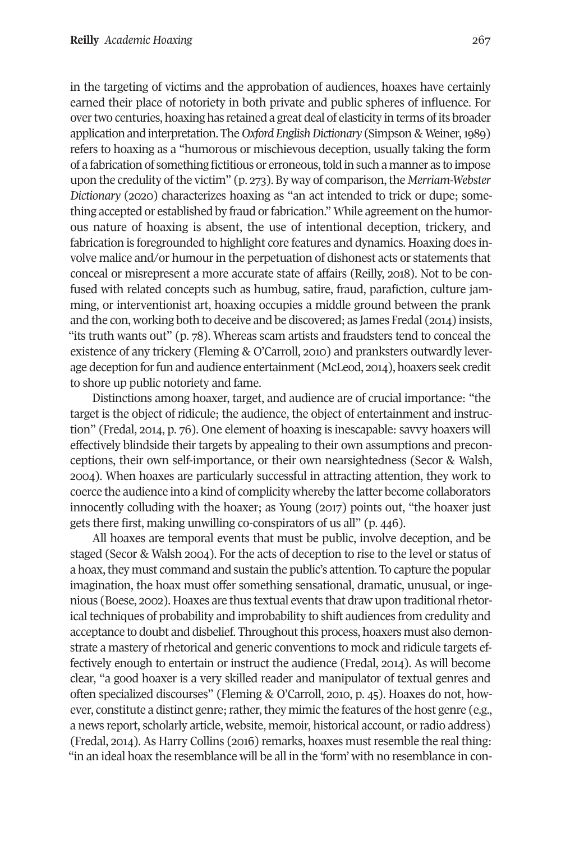in the targeting of victims and the approbation of audiences, hoaxes have certainly earned their place of notoriety in both private and public spheres of influence. For overtwo centuries, hoaxing has retained a great deal of elasticity in terms of its broader application and interpretation. The *Oxford EnglishDictionary* (Simpson & Weiner,1989) refers to hoaxing as a "humorous or mischievous deception, usually taking the form of a fabrication of something fictitious or erroneous, told in such a manner as to impose upon the credulity of the victim" (p. 273). By way of comparison, the *Merriam-Webster Dictionary* (2020) characterizes hoaxing as "an act intended to trick or dupe; something accepted or established by fraud or fabrication." While agreement on the humorous nature of hoaxing is absent, the use of intentional deception, trickery, and fabrication is foregrounded to highlight core features and dynamics. Hoaxing does involve malice and/or humour in the perpetuation of dishonest acts or statements that conceal or misrepresent a more accurate state of affairs (Reilly, 2018). Not to be confused with related concepts such as humbug, satire, fraud, parafiction, culture jamming, or interventionist art, hoaxing occupies a middle ground between the prank and the con, working both to deceive and be discovered; as James Fredal (2014) insists, "its truth wants out" (p. 78). Whereas scam artists and fraudsters tend to conceal the existence of any trickery (Fleming & O'Carroll, 2010) and pranksters outwardly leverage deception forfun and audience entertainment (McLeod, 2014), hoaxers seek credit to shore up public notoriety and fame.

Distinctions among hoaxer, target, and audience are of crucial importance: "the target is the object of ridicule; the audience, the object of entertainment and instruction" (Fredal, 2014, p. 76). One element of hoaxing is inescapable: savvy hoaxers will effectively blindside their targets by appealing to their own assumptions and preconceptions, their own self-importance, or their own nearsightedness (Secor & Walsh, 2004). When hoaxes are particularly successful in attracting attention, they work to coerce the audience into a kind of complicity whereby the latter become collaborators innocently colluding with the hoaxer; as Young (2017) points out, "the hoaxer just gets there first, making unwilling co-conspirators of us all" (p. 446).

All hoaxes are temporal events that must be public, involve deception, and be staged (Secor & Walsh 2004). For the acts of deception to rise to the level or status of a hoax, they must command and sustain the public's attention. To capture the popular imagination, the hoax must offer something sensational, dramatic, unusual, or ingenious (Boese, 2002). Hoaxes are thus textual events that draw upon traditional rhetorical techniques of probability and improbability to shift audiences from credulity and acceptance to doubt and disbelief. Throughout this process, hoaxers must also demonstrate a mastery of rhetorical and generic conventions to mock and ridicule targets effectively enough to entertain or instruct the audience (Fredal, 2014). As will become clear, "a good hoaxer is a very skilled reader and manipulator of textual genres and often specialized discourses" (Fleming & O'Carroll, 2010, p. 45). Hoaxes do not, however, constitute a distinct genre; rather, they mimic the features of the host genre (e.g., a news report, scholarly article, website, memoir, historical account, or radio address) (Fredal, 2014). As Harry Collins (2016) remarks, hoaxes mustresemble the real thing: "in an ideal hoax the resemblance will be all in the 'form' with no resemblance in con-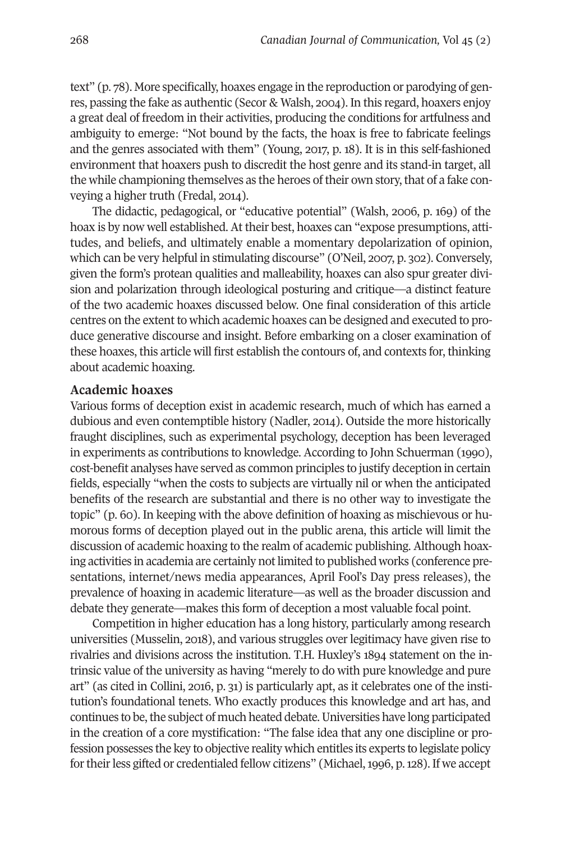text" (p. 78). More specifically, hoaxes engage in the reproduction or parodying of genres, passing the fake as authentic (Secor & Walsh, 2004). In this regard, hoaxers enjoy a great deal of freedom in their activities, producing the conditions for artfulness and ambiguity to emerge: "Not bound by the facts, the hoax is free to fabricate feelings and the genres associated with them" (Young, 2017, p. 18). It is in this self-fashioned environment that hoaxers push to discredit the host genre and its stand-in target, all the while championing themselves as the heroes of their own story, that of a fake conveying a higher truth (Fredal, 2014).

The didactic, pedagogical, or "educative potential" (Walsh, 2006, p. 169) of the hoax is by now well established. At their best, hoaxes can "expose presumptions, attitudes, and beliefs, and ultimately enable a momentary depolarization of opinion, which can be very helpful in stimulating discourse" (O'Neil, 2007, p. 302). Conversely, given the form's protean qualities and malleability, hoaxes can also spur greater division and polarization through ideological posturing and critique—a distinct feature of the two academic hoaxes discussed below. One final consideration of this article centres on the extent to which academic hoaxes can be designed and executed to produce generative discourse and insight. Before embarking on a closer examination of these hoaxes, this article will first establish the contours of, and contexts for, thinking about academic hoaxing.

#### **Academic hoaxes**

Various forms of deception exist in academic research, much of which has earned a dubious and even contemptible history (Nadler, 2014). Outside the more historically fraught disciplines, such as experimental psychology, deception has been leveraged in experiments as contributions to knowledge. According to John Schuerman (1990), cost-benefit analyses have served as common principles to justify deception in certain fields, especially "when the costs to subjects are virtually nil or when the anticipated benefits of the research are substantial and there is no other way to investigate the topic" (p. 60). In keeping with the above definition of hoaxing as mischievous or humorous forms of deception played out in the public arena, this article will limit the discussion of academic hoaxing to the realm of academic publishing. Although hoaxing activities in academia are certainly not limited to published works (conference presentations, internet/news media appearances, April Fool's Day press releases), the prevalence of hoaxing in academic literature—as well as the broader discussion and debate they generate—makes this form of deception a most valuable focal point.

Competition in higher education has a long history, particularly among research universities (Musselin, 2018), and various struggles over legitimacy have given rise to rivalries and divisions across the institution. T.H. Huxley's 1894 statement on the intrinsic value of the university as having "merely to do with pure knowledge and pure art" (as cited in Collini, 2016, p. 31) is particularly apt, as it celebrates one of the institution's foundational tenets. Who exactly produces this knowledge and art has, and continues to be, the subject of much heated debate. Universities have long participated in the creation of a core mystification: "The false idea that any one discipline or profession possesses the key to objective reality which entitles its experts to legislate policy fortheirless gifted or credentialed fellow citizens" (Michael,1996, p.128). If we accept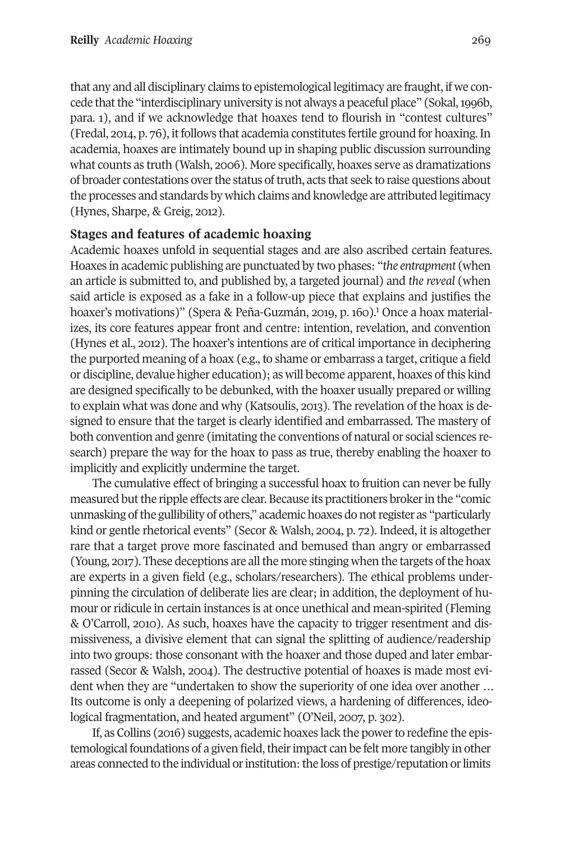that any and all disciplinary claims to epistemological legitimacy are fraught, if we concede that the "interdisciplinary university is not always a peaceful place" (Sokal, 1996b, para. 1), and if we acknowledge that hoaxes tend to flourish in "contest cultures" (Fredal, 2014, p. 76), itfollows that academia constitutes fertile ground for hoaxing. In academia, hoaxes are intimately bound up in shaping public discussion surrounding what counts as truth (Walsh, 2006). More specifically, hoaxes serve as dramatizations of broader contestations over the status of truth, acts that seek to raise questions about the processes and standards by which claims and knowledge are attributed legitimacy (Hynes, Sharpe, & Greig, 2012).

#### **Stages and features of academic hoaxing**

Academic hoaxes unfold in sequential stages and are also ascribed certain features. Hoaxes in academic publishing are punctuated by two phases: "*the entrapment* (when an article is submitted to, and published by, a targeted journal) and *the reveal* (when said article is exposed as a fake in a follow-up piece that e[xp](#page-15-0)lains and justifies the hoaxer's motivations)" (Spera & Peña-Guzmán, 2019, p. 160). <sup>1</sup> Once a hoax materializes, its core features appear front and centre: intention, revelation, and convention (Hynes et al., 2012). The hoaxer's intentions are of critical importance in deciphering the purported meaning of a hoax (e.g., to shame or embarrass a target, critique a field or discipline, devalue higher education); as will become apparent, hoaxes ofthis kind are designed specifically to be debunked, with the hoaxer usually prepared or willing to explain what was done and why (Katsoulis, 2013). The revelation of the hoax is designed to ensure that the target is clearly identified and embarrassed. The mastery of both convention and genre (imitating the conventions of natural or social sciences research) prepare the way for the hoax to pass as true, thereby enabling the hoaxer to implicitly and explicitly undermine the target.

The cumulative effect of bringing a successful hoax to fruition can never be fully measured but the ripple effects are clear. Because its practitioners broker in the "comic unmasking ofthe gullibility of others," academic hoaxes do notregister as "particularly kind or gentle rhetorical events" (Secor & Walsh, 2004, p. 72). Indeed, it is altogether rare that a target prove more fascinated and bemused than angry or embarrassed (Young, 2017). These deceptions are all the more stinging when the targets of the hoax are experts in a given field (e.g., scholars/researchers). The ethical problems underpinning the circulation of deliberate lies are clear; in addition, the deployment of humour or ridicule in certain instances is at once unethical and mean-spirited (Fleming & O'Carroll, 2010). As such, hoaxes have the capacity to trigger resentment and dismissiveness, a divisive element that can signal the splitting of audience/readership into two groups: those consonant with the hoaxer and those duped and later embarrassed (Secor & Walsh, 2004). The destructive potential of hoaxes is made most evident when they are "undertaken to show the superiority of one idea over another … Its outcome is only a deepening of polarized views, a hardening of differences, ideological fragmentation, and heated argument" (O'Neil, 2007, p. 302).

If, as Collins (2016) suggests, academic hoaxes lack the powerto redefine the epistemological foundations of a given field, their impact can be felt more tangibly in other areas connected to the individual or institution: the loss of prestige/reputation or limits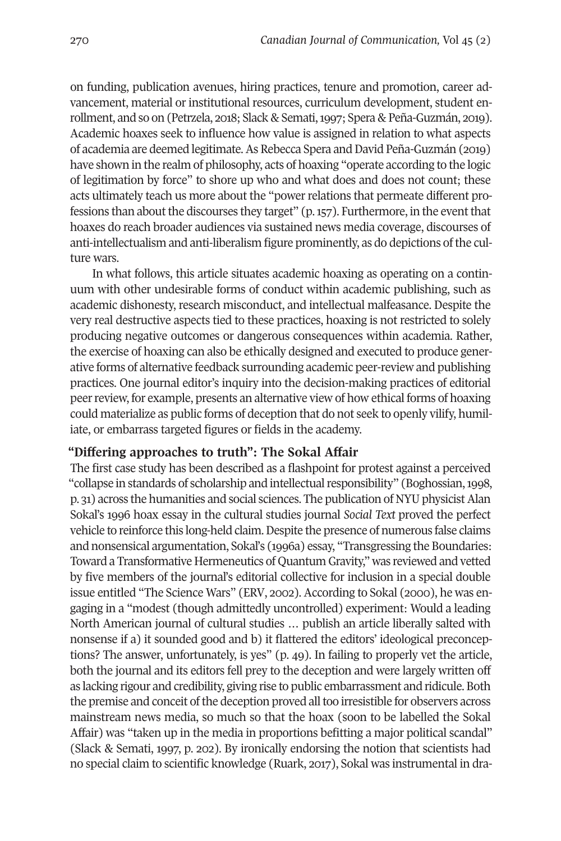on funding, publication avenues, hiring practices, tenure and promotion, career advancement, material or institutional resources, curriculum development, student enrollment, and so on (Petrzela, 2018; Slack & Semati,1997; Spera & Peña-Guzmán, 201[9\).](https://onlinelibrary.wiley.com/doi/full/10.1111/meta.12343) Academic hoaxes seek to influence how value is assigned in relation to what aspects of academia are deemed legitimate.As Rebecca Spera andDavid Peña-Guzmán (2019) have shown in the realm of philosophy, acts of hoaxing "operate according to the logic of legitimation by force" to shore up who and what does and does not count; these acts ultimately teach us more about the "power relations that permeate different professions than about the discourses they target"  $(p, 157)$ . Furthermore, in the event that hoaxes do reach broader audiences via sustained news media coverage, discourses of anti-intellectualism and anti-liberalism figure prominently, as do depictions ofthe culture wars.

In what follows, this article situates academic hoaxing as operating on a continuum with other undesirable forms of conduct within academic publishing, such as academic dishonesty, research misconduct, and intellectual malfeasance. Despite the very real destructive aspects tied to these practices, hoaxing is not restricted to solely producing negative outcomes or dangerous consequences within academia. Rather, the exercise of hoaxing can also be ethically designed and executed to produce generative forms of alternative feedback surrounding academic peer-review and publishing practices. One journal editor's inquiry into the decision-making practices of editorial peer review, for example, presents an alternative view of how ethical forms of hoaxing could materialize as public forms of deception that do not seek to openly vilify, humiliate, or embarrass targeted figures or fields in the academy.

### **"Differing approaches to truth": The Sokal Affair**

The first case study has been described as a flashpoint for protest against a perceived "collapse in standards of scholarship and intellectualresponsibility" (Boghossian,1998, p. 31) across the humanities and social sciences. The publication of NYUphysicistAlan Sokal's 1996 hoax essay in the cultural studies journal *Social Text* proved the perfect vehicle to reinforce this long-held claim.Despite the presence of numerous false claims and nonsensical argumentation, Sokal's (1996a) essay, "Transgressing the Boundaries: Toward a Transformative Hermeneutics of Quantum Gravity," was reviewed and vetted by five members of the journal's editorial collective for inclusion in a special double issue entitled "The Science Wars" (ERV, 2002). According to Sokal (2000), he was engaging in a "modest (though admittedly uncontrolled) experiment: Would a leading North American journal of cultural studies … publish an article liberally salted with nonsense if a) it sounded good and b) it flattered the editors' ideological preconceptions? The answer, unfortunately, is yes" (p. 49). In failing to properly vet the article, both the journal and its editors fell prey to the deception and were largely written off as lacking rigour and credibility, giving rise to public embarrassment and ridicule. Both the premise and conceit of the deception proved all too irresistible for observers across mainstream news media, so much so that the hoax (soon to be labelled the Sokal Affair) was "taken up in the media in proportions befitting a major political scandal" (Slack & Semati, 1997, p. 202). By ironically endorsing the notion that scientists had no special claim to scientific knowledge (Ruark, 2017), Sokal was instrumental in dra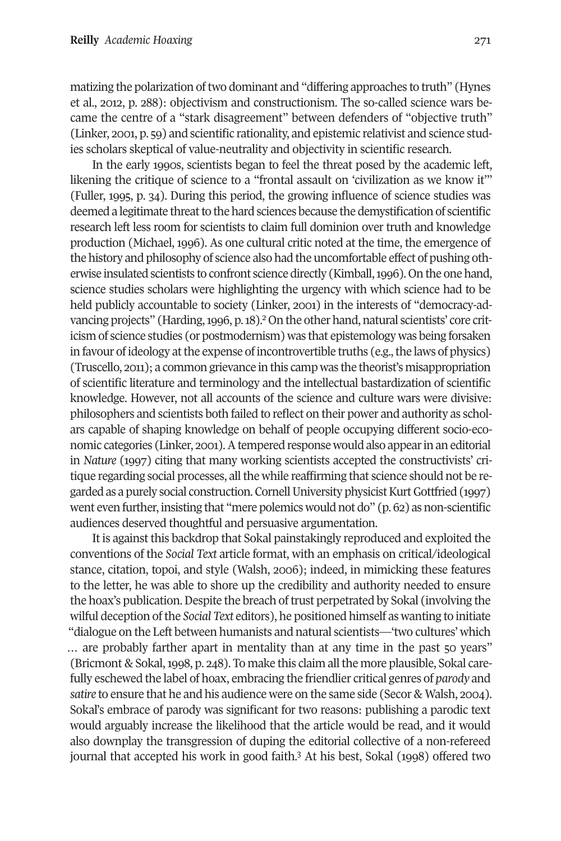matizing the polarization oftwo dominant and "differing approaches to truth" (Hynes et al., 2012, p. 288): objectivism and constructionism. The so-called science wars became the centre of a "stark disagreement" between defenders of "objective truth" (Linker, 2001, p. 59) and scientific rationality, and epistemic relativist and science studies scholars skeptical of value-neutrality and objectivity in scientific research.

In the early 1990s, scientists began to feel the threat posed by the academic left, likening the critique of science to a "frontal assault on 'civilization as we know it'" (Fuller, 1995, p. 34). During this period, the growing influence of science studies was deemed a legitimate threat to the hard sciences because the demystification of scientific research left less room for scientists to claim full dominion over truth and knowledge production (Michael, 1996). As one cultural critic noted at the time, the emergence of the history and philosophy of science also had the uncomfortable effect of pushing otherwise insulated scientists to confront science directly (Kimball,1996). On the one hand, science studies scholars were highlighting the urgency with which science had to be held publicly accountable to society ([Lin](#page-15-1)ker, 2001) in the interests of "democracy-advancing projects" (Harding, 1996, p. 18).<sup>2</sup> On the other hand, natural scientists' core criticism of science studies (or postmodernism) was that epistemology was being forsaken in favour of ideology at the expense of incontrovertible truths (e.g., the laws of physics) (Truscello, 2011); a common grievance in this camp was the theorist's misappropriation of scientific literature and terminology and the intellectual bastardization of scientific knowledge. However, not all accounts of the science and culture wars were divisive: philosophers and scientists both failed to reflect on their power and authority as scholars capable of shaping knowledge on behalf of people occupying different socio-economic categories (Linker, 2001). A tempered response would also appear in an editorial in *Nature* (1997) citing that many working scientists accepted the constructivists' critique regarding social processes, all the while reaffirming that science should not be regarded as a purely social construction.CornellUniversity physicistKurtGottfried (1997) went even further, insisting that "mere polemics would not do" (p. 62) as non-scientific audiences deserved thoughtful and persuasive argumentation.

It is against this backdrop that Sokal painstakingly reproduced and exploited the conventions of the *Social Text* article format, with an emphasis on critical/ideological stance, citation, topoi, and style (Walsh, 2006); indeed, in mimicking these features to the letter, he was able to shore up the credibility and authority needed to ensure the hoax's publication. Despite the breach of trust perpetrated by Sokal (involving the wilful deception of the *Social Text* editors), he positioned himself as wanting to initiate "dialogue on the Left between humanists and natural scientists—'two cultures' which … are probably farther apart in mentality than at any time in the past 50 years" (Bricmont & Sokal, 1998, p. 248). To make this claim all the more plausible, Sokal carefully eschewed the label of hoax, embracing the friendlier critical genres of *parody* and *satire* to ensure that he and his audience were on the same side (Secor & Walsh, 2004). Sokal's embrace of parody was significant for two reasons: publishing a parodic text would arguably increase the likelihood that the article would be read, and it would also downplay the transgression of duping t[he](#page-15-2) editorial collective of a non-refereed journal that accepted his work in good faith. <sup>3</sup> At his best, Sokal (1998) offered two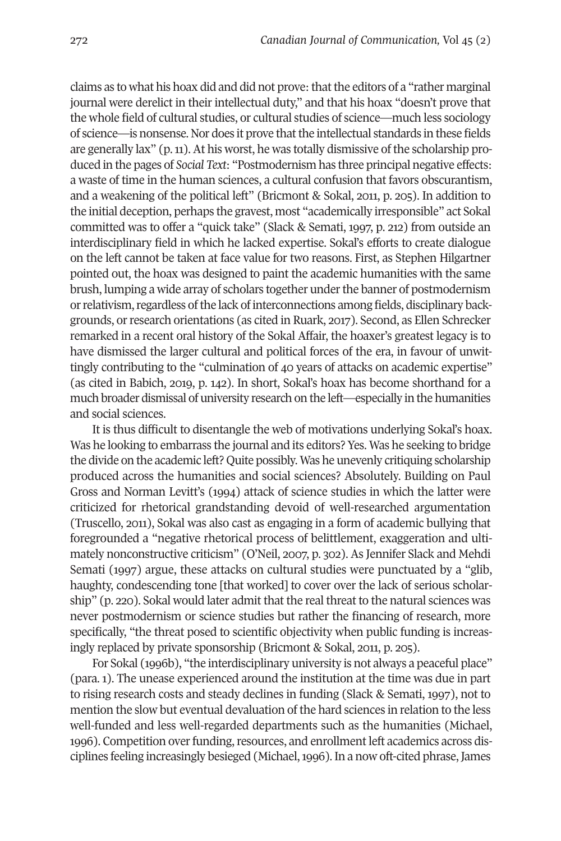claims as to what his hoax did and did not prove: that the editors of a "rather marginal journal were derelict in their intellectual duty," and that his hoax "doesn't prove that the whole field of cultural studies, or cultural studies of science—much less sociology of science—is nonsense. Nor does it prove thatthe intellectual standards in these fields are generally lax" (p.11). At his worst, he was totally dismissive of the scholarship produced in the pages of *Social Text*: "Postmodernism has three principal negative effects: a waste of time in the human sciences, a cultural confusion that favors obscurantism, and a weakening of the political left" (Bricmont & Sokal, 2011, p. 205). In addition to the initial deception, perhaps the gravest, most "academically irresponsible" act Sokal committed was to offer a "quick take" (Slack & Semati, 1997, p. 212) from outside an interdisciplinary field in which he lacked expertise. Sokal's efforts to create dialogue on the left cannot be taken at face value for two reasons. First, as Stephen Hilgartner pointed out, the hoax was designed to paint the academic humanities with the same brush, lumping a wide array of scholars together underthe banner of postmodernism or relativism, regardless of the lack of interconnections among fields, disciplinary backgrounds, or research orientations (as cited in Ruark, 2017). Second, as Ellen Schrecker remarked in a recent oral history of the Sokal Affair, the hoaxer's greatest legacy is to have dismissed the larger cultural and political forces of the era, in favour of unwittingly contributing to the "culmination of 40 years of attacks on academic expertise" (as cited in Babich, 2019, p. 142). In short, Sokal's hoax has become shorthand for a much broader dismissal of university research on the left—especially in the humanities and social sciences.

It is thus difficult to disentangle the web of motivations underlying Sokal's hoax. Was he looking to embarrass the journal and its editors? Yes. Was he seeking to bridge the divide on the academic left? Quite possibly. Was he unevenly critiquing scholarship produced across the humanities and social sciences? Absolutely. Building on Paul Gross and Norman Levitt's (1994) attack of science studies in which the latter were criticized for rhetorical grandstanding devoid of well-researched argumentation (Truscello, 2011), Sokal was also cast as engaging in a form of academic bullying that foregrounded a "negative rhetorical process of belittlement, exaggeration and ultimately nonconstructive criticism" (O'Neil, 2007, p. 302). As Jennifer Slack and Mehdi Semati (1997) argue, these attacks on cultural studies were punctuated by a "glib, haughty, condescending tone [that worked] to cover over the lack of serious scholarship" (p. 220). Sokal would later admit that the real threat to the natural sciences was never postmodernism or science studies but rather the financing of research, more specifically, "the threat posed to scientific objectivity when public funding is increasingly replaced by private sponsorship (Bricmont & Sokal, 2011, p. 205).

For Sokal (1996b), "the interdisciplinary university is not always a peaceful place" (para. 1). The unease experienced around the institution at the time was due in part to rising research costs and steady declines in funding (Slack & Semati, 1997), not to mention the slow but eventual devaluation of the hard sciences in relation to the less well-funded and less well-regarded departments such as the humanities (Michael, 1996). Competition over funding, resources, and enrollment left academics across disciplines feeling increasingly besieged (Michael, 1996). In a now oft-cited phrase, James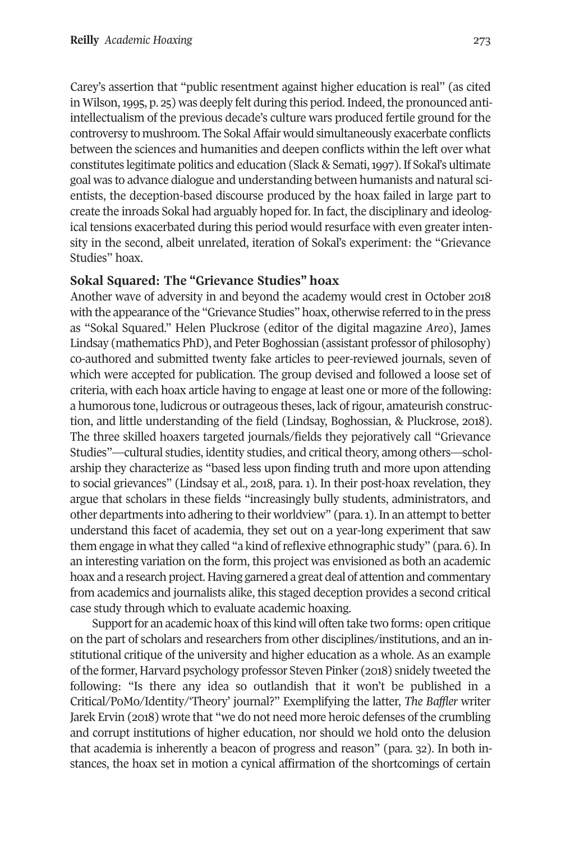Carey's assertion that "public resentment against higher education is real" (as cited in Wilson, 1995, p. 25) was deeply felt during this period. Indeed, the pronounced antiintellectualism of the previous decade's culture wars produced fertile ground for the controversy to mushroom. The SokalAffair would simultaneously exacerbate conflicts between the sciences and humanities and deepen conflicts within the left over what constitutes legitimate politics and education (Slack & Semati, 1997). If Sokal's ultimate goal was to advance dialogue and understanding between humanists and natural scientists, the deception-based discourse produced by the hoax failed in large part to create the inroads Sokal had arguably hoped for. In fact, the disciplinary and ideological tensions exacerbated during this period would resurface with even greater intensity in the second, albeit unrelated, iteration of Sokal's experiment: the "Grievance Studies" hoax.

#### **Sokal Squared: The "Grievance Studies" hoax**

Another wave of adversity in and beyond the academy would crest in October 2018 with the appearance ofthe "Grievance Studies" hoax, otherwise referred to in the press as "Sokal Squared." Helen Pluckrose (editor of the digital magazine *Areo*), James Lindsay (mathematics PhD), and Peter Boghossian (assistant professor of philosophy) co-authored and submitted twenty fake articles to peer-reviewed journals, seven of which were accepted for publication. The group devised and followed a loose set of criteria, with each hoax article having to engage at least one or more of the following: a humorous tone, ludicrous or outrageous theses, lack ofrigour, amateurish construction, and little understanding of the field (Lindsay, Boghossian, & Pluckrose, 2018). The three skilled hoaxers targeted journals/fields they pejoratively call "Grievance Studies"—cultural studies, identity studies, and critical theory, among others—scholarship they characterize as "based less upon finding truth and more upon attending to social grievances" (Lindsay et al., 2018, para. 1). In their post-hoax revelation, they argue that scholars in these fields "increasingly bully students, administrators, and other departments into adhering to their worldview" (para.1). In an attempt to better understand this facet of academia, they set out on a year-long experiment that saw them engage in what they called "a kind of reflexive ethnographic study" (para. 6). In an interesting variation on the form, this project was envisioned as both an academic hoax and a research project. Having garnered a great deal of attention and commentary from academics and journalists alike, this staged deception provides a second critical case study through which to evaluate academic hoaxing.

Support for an academic hoax of this kind will often take two forms: open critique on the part of scholars and researchers from other disciplines/institutions, and an institutional critique of the university and higher education as a whole. As an example ofthe former, Harvard psychology professor Steven Pinker (2018) snidely tweeted the following: "Is there any idea so outlandish that it won't be published in a Critical/PoMo/Identity/'Theory' journal?" Exemplifying the latter, *The Baffler* writer Jarek Ervin (2018) wrote that "we do not need more heroic defenses of the crumbling and corrupt institutions of higher education, nor should we hold onto the delusion that academia is inherently a beacon of progress and reason" (para. 32). In both instances, the hoax set in motion a cynical affirmation of the shortcomings of certain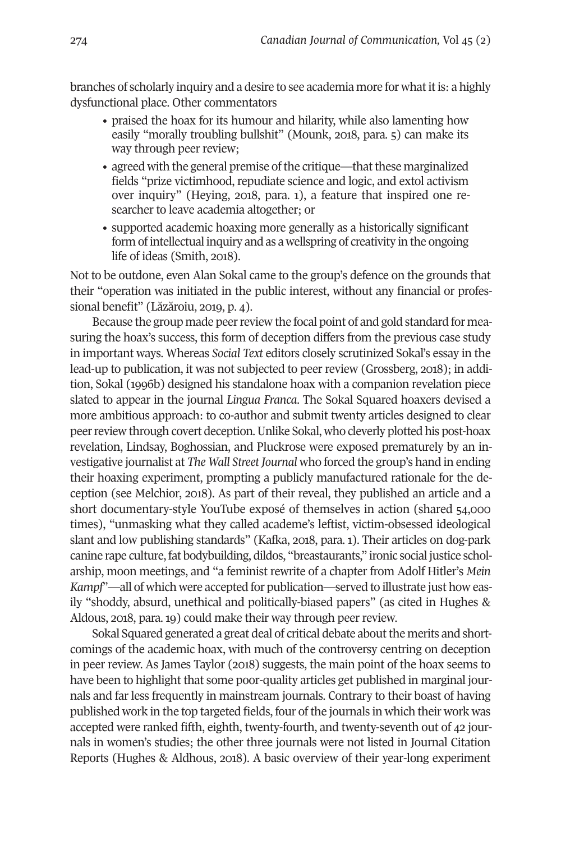branches of scholarly inquiry and a desire to see academia more for what it is: a highly dysfunctional place. Other commentators

- praised the hoax for its humour and hilarity, while also lamenting how easily "morally troubling bullshit" (Mounk, 2018, para. 5) can make its way through peer review;
- agreed with the general premise of the critique—that these marginalized fields "prize victimhood, repudiate science and logic, and extol activism over inquiry" (Heying, 2018, para. 1), a feature that inspired one researcher to leave academia altogether; or
- supported academic hoaxing more generally as a historically significant form of intellectual inquiry and as a wellspring of creativity in the ongoing life of ideas (Smith, 2018).

Not to be outdone, even Alan Sokal came to the group's defence on the grounds that their "operation was initiated in the public interest, without any financial or professional benefit" (Lăzăroiu, 2019, p. 4).

Because the group made peerreview the focal point of and gold standard for measuring the hoax's success, this form of deception differs from the previous case study in important ways. Whereas *Social Text* editors closely scrutinized Sokal's essay in the lead-up to publication, it was not subjected to peer review (Grossberg, 2018); in addition, Sokal (1996b) designed his standalone hoax with a companion revelation piece slated to appear in the journal *Lingua Franca*. The Sokal Squared hoaxers devised a more ambitious approach: to co-author and submit twenty articles designed to clear peerreview through covert deception.Unlike Sokal, who cleverly plotted his post-hoax revelation, Lindsay, Boghossian, and Pluckrose were exposed prematurely by an investigative journalist at *The Wall Street Journal* who forced the group's hand in ending their hoaxing experiment, prompting a publicly manufactured rationale for the deception (see Melchior, 2018). As part of their reveal, they published an article and a short documentary-style YouTube exposé of themselves in action (shared 54,000 times), "unmasking what they called academe's leftist, victim-obsessed ideological slant and low publishing standards" (Kafka, 2018, para. 1). Their articles on dog-park canine rape culture, fat bodybuilding, dildos, "breastaurants," ironic social justice scholarship, moon meetings, and "a feminist rewrite of a chapter from Adolf Hitler's *Mein Kampf*"—all of which were accepted for publication—served to illustrate just how easily "shoddy, absurd, unethical and politically-biased papers" (as cited in Hughes & Aldous, 2018, para. 19) could make their way through peer review.

Sokal Squared generated a great deal of critical debate about the merits and shortcomings of the academic hoax, with much of the controversy centring on deception in peer review. As James Taylor (2018) suggests, the main point of the hoax seems to have been to highlight that some poor-quality articles get published in marginal journals and far less frequently in mainstream journals. Contrary to their boast of having published work in the top targeted fields, four of the journals in which their work was accepted were ranked fifth, eighth, twenty-fourth, and twenty-seventh out of 42 journals in women's studies; the other three journals were not listed in Journal Citation Reports (Hughes & Aldhous, 2018). A basic overview of their year-long experiment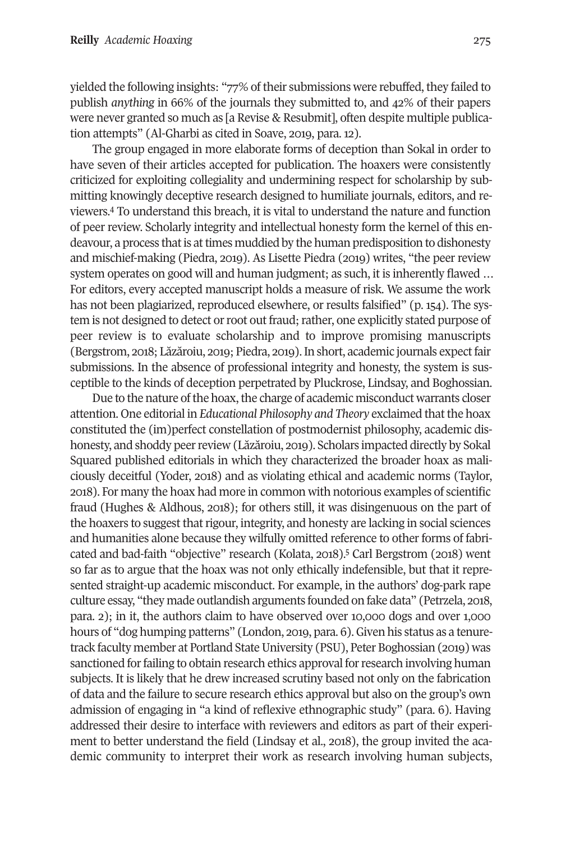yielded the following insights: "77% of their submissions were rebuffed, they failed to publish *anything* in 66% of the journals they submitted to, and 42% of their papers were never granted so much as [a Revise & Resubmit], often despite multiple publication attempts" (Al-Gharbi as cited in Soave, 2019, para. 12).

The group engaged in more elaborate forms of deception than Sokal in order to have seven of their articles accepted for publication. The hoaxers were consistently criticized for exploiting collegiality and undermining respect for scholarship by submitting [k](#page-15-3)nowingly deceptive research designed to humiliate journals, editors, and reviewers. <sup>4</sup> To understand this breach, it is vital to understand the nature and function of peer review. Scholarly integrity and intellectual honesty form the kernel of this endeavour, a process that is at times muddied by the human predisposition to dishonesty and mischief-making (Piedra, 2019). As Lisette Piedra (2019) writes, "the peer review system operates on good will and human judgment; as such, it is inherently flawed … For editors, every accepted manuscript holds a measure of risk. We assume the work has not been plagiarized, reproduced elsewhere, or results falsified" (p. 154). The system is not designed to detect or root out fraud; rather, one explicitly stated purpose of peer review is to evaluate scholarship and to improve promising manuscripts [\(B](https://www.chronicle.com/article/What-the-Grievance/244753)ergstrom, 2018; Lăzăroiu, 2019; Piedra, 2019). In short, academic journals expect fair submissions. In the absence of professional integrity and honesty, the system is susceptible to the kinds of deception perpetrated by Pluckrose, Lindsay, and Boghossian.

Due to the nature of the hoax, the charge of academic misconduct warrants closer attention. One editorial in *Educational Philosophy and Theory* exclaimed thatthe hoax constituted the (im)perfect constellation of postmodernist philosophy, academic dishonesty, and shoddy peerreview (Lăzăroiu, 2019). Scholars impacted directly by Sokal Squared published editorials in which they characterized the broader hoax as maliciously deceitful (Yoder, 2018) and as violating ethical and academic norms (Taylor, 2018). For many the hoax had more in common with notorious examples of scientific fraud (Hughes & Aldhous, 2018); for others still, it was disingenuous on the part of the hoaxers to suggest that rigour, integrity, and honesty are lacking in social sciences and humanities alone because they wilfully omitted re[fer](#page-15-4)ence to other forms of fabricated and bad-faith "objective" research (Kolata, 2018). <sup>5</sup> Carl Bergstrom (2018) went so far as to argue that the hoax was not only ethically indefensible, but that it represented straight-up academic misconduct. For example, in the authors' dog-park rape culture essay, "they made outlandish arguments founded on fake data" (Petrzela, 2018, para. 2); in it, the authors claim to have observed over 10,000 dogs and over 1,000 hours of "dog humping patterns" (London, 2019, para. 6). Given his status as a tenuretrack faculty member at Portland State University (PSU), Peter Boghossian (2019) was sanctioned for failing to obtain research ethics approval for research involving human subjects. It is likely that he drew increased scrutiny based not only on the fabrication of data and the failure to secure research ethics approval but also on the group's own admission of engaging in "a kind of reflexive ethnographic study" (para. 6). Having addressed their desire to interface with reviewers and editors as part of their experiment to better understand the field (Lindsay et al., 2018), the group invited the academic community to interpret their work as research involving human subjects,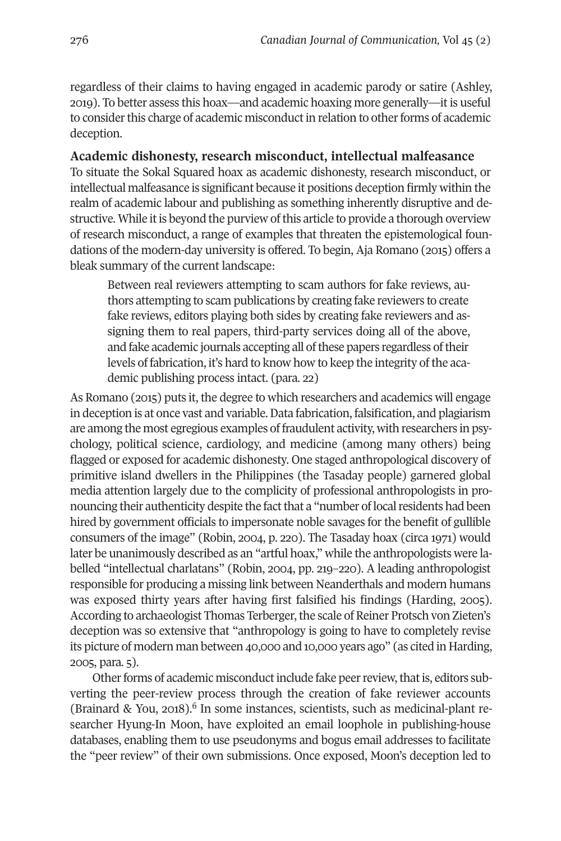regardless of their claims to having engaged in academic parody or satire (Ashley, 2019). To better assess this hoax—and academic hoaxing more generally—it is useful to consider this charge of academic misconduct in relation to other forms of academic deception.

#### **Academic dishonesty, research misconduct, intellectual malfeasance**

To situate the Sokal Squared hoax as academic dishonesty, research misconduct, or intellectual malfeasance is significant because it positions deception firmly within the realm of academic labour and publishing as something inherently disruptive and destructive. While it is beyond the purview of this article to provide a thorough overview of research misconduct, a range of examples that threaten the epistemological foundations of the modern-day university is offered. To begin, Aja Romano (2015) offers a bleak summary of the current landscape:

Between real reviewers attempting to scam authors for fake reviews, authors attempting to scam publications by creating fake reviewers to create fake reviews, editors playing both sides by creating fake reviewers and assigning them to real papers, third-party services doing all of the above, and fake academic journals accepting all of these papers regardless of their levels of fabrication, it's hard to know how to keep the integrity of the academic publishing process intact. (para. 22)

As Romano (2015) puts it, the degree to which researchers and academics will engage in deception is at once vast and variable.Data fabrication, falsification, and plagiarism are among the most egregious examples of fraudulent activity, with researchers in psychology, political science, cardiology, and medicine (among many others) being flagged or exposed for academic dishonesty. One staged anthropological discovery of primitive island dwellers in the Philippines (the Tasaday people) garnered global media attention largely due to the complicity of professional anthropologists in pronouncing their authenticity despite the fact that a "number of local residents had been hired by government officials to impersonate noble savages for the benefit of gullible consumers of the image" (Robin, 2004, p. 220). The Tasaday hoax (circa 1971) would later be unanimously described as an "artful hoax," while the anthropologists were labelled "intellectual charlatans" (Robin, 2004, pp. 219–220). A leading anthropologist responsible for producing a missing link between Neanderthals and modern humans was exposed thirty years after having first falsified his findings (Harding, 2005). According to archaeologist Thomas Terberger, the scale of Reiner Protsch von Zieten's deception was so extensive that "anthropology is going to have to completely revise its picture of modern man between 40,000 and 10,000 years ago" (as cited in Harding, 2005, para. 5).

Other forms of academic misconduct include fake peer review, that is, editors subverting the peer-review process through the creation of fake reviewer accounts (Brainard & You, 2018). [6](#page-15-5) In some instances, scientists, such as medicinal-plant researcher Hyung-In Moon, have exploited an email loophole in publishing-house databases, enabling them to use pseudonyms and bogus email addresses to facilitate the "peer review" of their own submissions. Once exposed, Moon's deception led to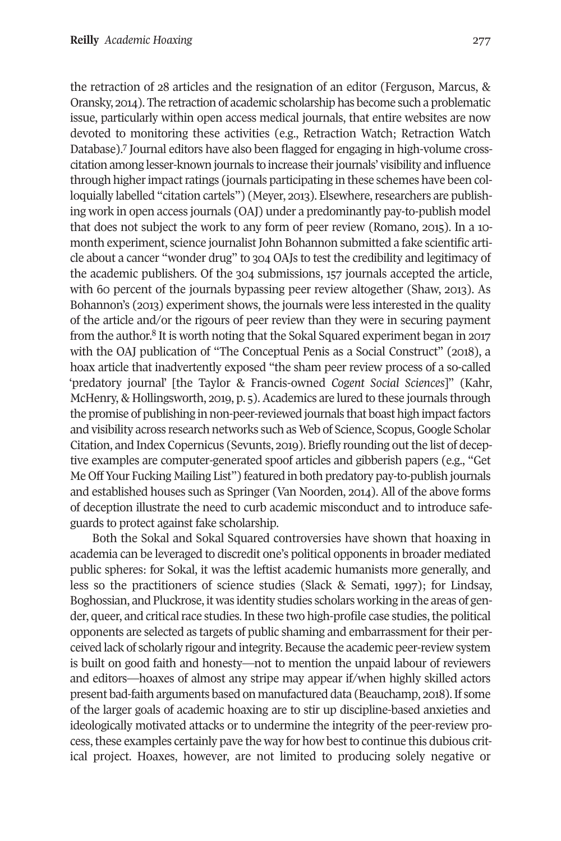the retraction of 28 articles and the resignation of an editor (Ferguson, Marcus, & Oransky, 2014). The retraction of academic scholarship has become such a problematic issue, particularly within open access medical journals, that entire websites are now devoted t[o](#page-15-6) monitoring these activities (e.g., Retraction Watch; Retraction Watch Database). <sup>7</sup> Journal editors have also been flagged for engaging in high-volume crosscitation among lesser-known journals to increase their journals' visibility and influence through higher impact ratings (journals participating in these schemes have been colloquially labelled "citation cartels") (Meyer, 2013). Elsewhere, researchers are publishing work in open access journals (OAJ) under a predominantly pay-to-publish model that does not subject the work to any form of peer review (Romano, 2015). In a 10 month experiment, science journalist John Bohannon submitted a fake scientific article about a cancer "wonder drug" to 304 OAJs to test the credibility and legitimacy of the academic publishers. Of the 304 submissions, 157 journals accepted the article, with 60 percent of the journals bypassing peer review altogether (Shaw, 2013). As Bohannon's (2013) experiment shows, the journals were less interested in the quality of the article an[d/](#page-15-7)or the rigours of peer review than they were in securing payment

from the author. <sup>8</sup> It is worth noting that the Sokal Squared experiment began in 2017 with the OAJ publication of "The Conceptual Penis as a Social Construct" (2018), a hoax article that inadvertently exposed "the sham peer review process of a so-called 'predatory journal' [the Taylor & Francis-owned *Cogent Social Sciences*]" (Kahr, McHenry, & Hollingsworth, 2019, p. 5). Academics are lured to these journals through the promise of publishing in non-peer-reviewed journals that boast high impact factors and visibility across research networks such as Web of Science, Scopus,Google Scholar Citation, and Index Copernicus (Sevunts, 2019). Briefly rounding out the list of deceptive examples are computer-generated spoof articles and gibberish papers (e.g., "Get Me Off Your Fucking Mailing List") featured in both predatory pay-to-publish journals and established houses such as Springer (Van Noorden, 2014). All of the above forms of deception illustrate the need to curb academic misconduct and to introduce safeguards to protect against fake scholarship.

Both the Sokal and Sokal Squared controversies have shown that hoaxing in academia can be leveraged to discredit one's political opponents in broader mediated public spheres: for Sokal, it was the leftist academic humanists more generally, and less so the practitioners of science studies (Slack & Semati, 1997); for Lindsay, Boghossian, and Pluckrose, it was identity studies scholars working in the areas of gender, queer, and critical race studies. In these two high-profile case studies, the political opponents are selected as targets of public shaming and embarrassment fortheir perceived lack of scholarly rigour and integrity. Because the academic peer-review system is built on good faith and honesty—not to mention the unpaid labour of reviewers and editors—hoaxes of almost any stripe may appear if/when highly skilled actors present bad-faith arguments based on manufactured data (Beauchamp, 2018).If some of the larger goals of academic hoaxing are to stir up discipline-based anxieties and ideologically motivated attacks or to undermine the integrity of the peer-review process, these examples certainly pave the way for how best to continue this dubious critical project. Hoaxes, however, are not limited to producing solely negative or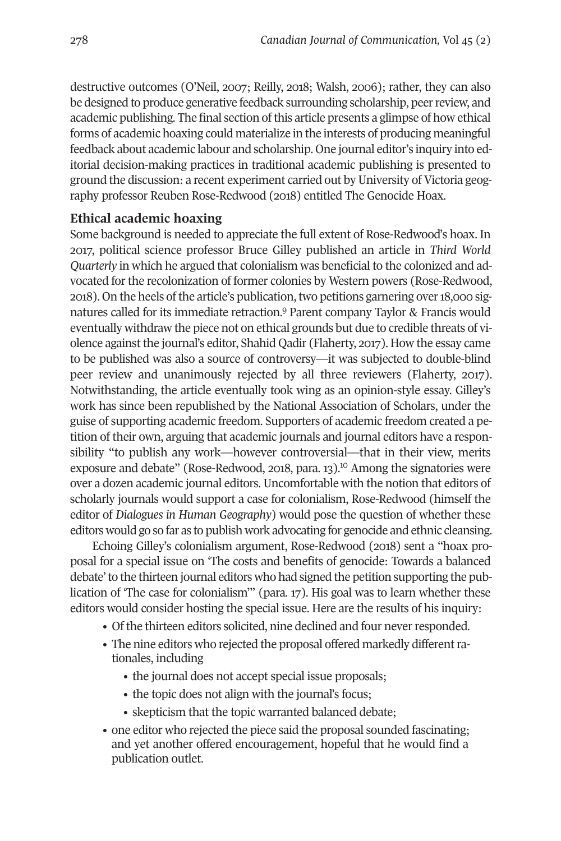destructive outcomes (O'Neil, 2007; Reilly, 2018; Walsh, 2006); rather, they can also be designed to produce generative feedback surrounding scholarship, peerreview, and academic publishing. The final section ofthis article presents a glimpse of how ethical forms of academic hoaxing could materialize in the interests of producing meaningful feedback about academic labour and scholarship. One journal editor's inquiry into editorial decision-making practices in traditional academic publishing is presented to ground the discussion: a recent experiment carried out by University of Victoria geography professor Reuben Rose-Redwood (2018) entitled The Genocide Hoax.

# **Ethical academic hoaxing**

Some background is needed to appreciate the full extent of Rose-Redwood's hoax. In 2017, political science professor Bruce Gilley published an article in *Third World Quarterly* in which he argued that colonialism was beneficial to the colonized and advocated for the recolonization of former colonies by Western powers (Rose-Redwood, 2018). On the heels of the article's publicat[ion](#page-16-0), two petitions garnering over 18,000 signatures called for its immediate retraction. <sup>9</sup> Parent company Taylor & Francis would eventually withdraw the piece not on ethical grounds but due to credible threats of violence against the journal's editor, Shahid Qadir (Flaherty, 2017). How the essay came to be published was also a source of controversy—it was subjected to double-blind peer review and unanimously rejected by all three reviewers (Flaherty, 2017). Notwithstanding, the article eventually took wing as an opinion-style essay. Gilley's work has since been republished by the National Association of Scholars, under the guise of supporting academic freedom. Supporters of academic freedom created a petition of their own, arguing that academic journals and journal editors have a responsibility "to publish any work—however controvers[ial—](#page-16-1)that in their view, merits exposure and debate" (Rose-Redwood, 2018, para. 13). <sup>10</sup> Among the signatories were over a dozen academic journal editors. Uncomfortable with the notion that editors of scholarly journals would support a case for colonialism, Rose-Redwood (himself the editor of *Dialogues in Human Geography*) would pose the question of whether these editors would go so far as to publish work advocating for genocide and ethnic cleansing.

Echoing Gilley's colonialism argument, Rose-Redwood (2018) sent a "hoax proposal for a special issue on 'The costs and benefits of genocide: Towards a balanced debate'to the thirteen journal editors who had signed the petition supporting the publication of 'The case for colonialism'" (para. 17). His goal was to learn whether these editors would consider hosting the special issue. Here are the results of his inquiry:

- Of the thirteen editors solicited, nine declined and four never responded.
- The nine editors who rejected the proposal offered markedly different rationales, including
	- the journal does not accept special issue proposals;
	- the topic does not align with the journal's focus;
	- skepticism that the topic warranted balanced debate;
- one editor who rejected the piece said the proposal sounded fascinating; and yet another offered encouragement, hopeful that he would find a publication outlet.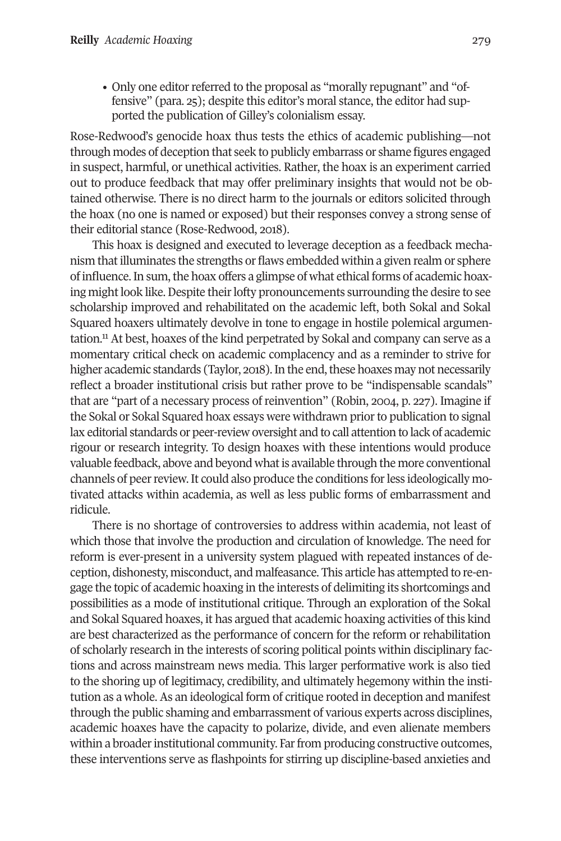• Only one editor referred to the proposal as "morally repugnant" and "offensive" (para. 25); despite this editor's moral stance, the editor had supported the publication of Gilley's colonialism essay.

Rose-Redwood's genocide hoax thus tests the ethics of academic publishing—not through modes of deception that seek to publicly embarrass or shame figures engaged in suspect, harmful, or unethical activities. Rather, the hoax is an experiment carried out to produce feedback that may offer preliminary insights that would not be obtained otherwise. There is no direct harm to the journals or editors solicited through the hoax (no one is named or exposed) but their responses convey a strong sense of their editorial stance (Rose-Redwood, 2018).

This hoax is designed and executed to leverage deception as a feedback mechanism thatilluminates the strengths or flaws embedded within a given realm or sphere of influence.In sum,the hoax offers a glimpse of what ethical forms of academic hoaxing might look like. Despite their lofty pronouncements surrounding the desire to see scholarship improved and rehabilitated on the academic left, both Sokal and Sokal Squar[ed](#page-16-2) hoaxers ultimately devolve in tone to engage in hostile polemical argumentation. <sup>11</sup> At best, hoaxes of the kind perpetrated by Sokal and company can serve as a momentary critical check on academic complacency and as a reminder to strive for higher academic standards (Taylor, 2018). In the end, these hoaxes may not necessarily reflect a broader institutional crisis but rather prove to be "indispensable scandals" that are "part of a necessary process of reinvention" (Robin, 2004, p. 227). Imagine if the Sokal or Sokal Squared hoax essays were withdrawn prior to publication to signal lax editorial standards or peer-review oversight and to call attention to lack of academic rigour or research integrity. To design hoaxes with these intentions would produce valuable feedback, above and beyond whatis available through the more conventional channels of peerreview.It could also produce the conditions forless ideologically motivated attacks within academia, as well as less public forms of embarrassment and ridicule.

There is no shortage of controversies to address within academia, not least of which those that involve the production and circulation of knowledge. The need for reform is ever-present in a university system plagued with repeated instances of deception, dishonesty, misconduct, and malfeasance. This article has attempted to re-engage the topic of academic hoaxing in the interests of delimiting its shortcomings and possibilities as a mode of institutional critique. Through an exploration of the Sokal and Sokal Squared hoaxes, it has argued that academic hoaxing activities of this kind are best characterized as the performance of concern for the reform or rehabilitation of scholarly research in the interests of scoring political points within disciplinary factions and across mainstream news media. This larger performative work is also tied to the shoring up of legitimacy, credibility, and ultimately hegemony within the institution as a whole. As an ideological form of critique rooted in deception and manifest through the public shaming and embarrassment of various experts across disciplines, academic hoaxes have the capacity to polarize, divide, and even alienate members within a broader institutional community. Far from producing constructive outcomes, these interventions serve as flashpoints for stirring up discipline-based anxieties and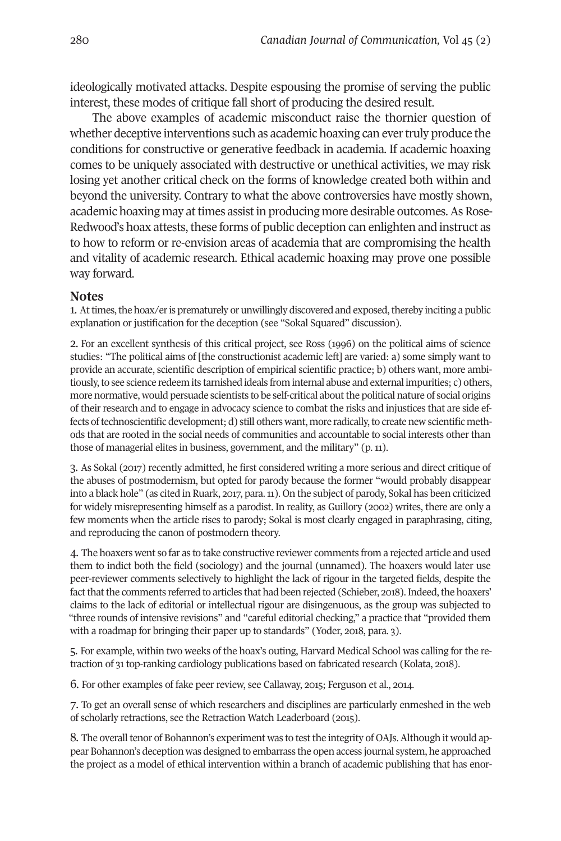ideologically motivated attacks. Despite espousing the promise of serving the public interest, these modes of critique fall short of producing the desired result.

The above examples of academic misconduct raise the thornier question of whether deceptive interventions such as academic hoaxing can evertruly produce the conditions for constructive or generative feedback in academia. If academic hoaxing comes to be uniquely associated with destructive or unethical activities, we may risk losing yet another critical check on the forms of knowledge created both within and beyond the university. Contrary to what the above controversies have mostly shown, academic hoaxing may attimes assistin producing more desirable outcomes.As Rose-Redwood's hoax attests, these forms of public deception can enlighten and instruct as to how to reform or re-envision areas of academia that are compromising the health and vitality of academic research. Ethical academic hoaxing may prove one possible way forward.

#### **Notes**

<span id="page-15-1"></span><span id="page-15-0"></span>1. At times, the hoax/er is prematurely or unwillingly discovered and exposed, thereby inciting a public explanation or justification for the deception (see "Sokal Squared" discussion).

2. For an excellent synthesis of this critical project, see Ross (1996) on the political aims of science studies: "The political aims of [the constructionist academic left] are varied: a) some simply want to provide an accurate, scientific description of empirical scientific practice; b) others want, more ambitiously, to see science redeem its tarnished ideals from internal abuse and external impurities; c) others, more normative, would persuade scientists to be self-critical about the political nature of social origins of their research and to engage in advocacy science to combat the risks and injustices that are side effects of technoscientific development; d) still others want, more radically, to create new scientific methods that are rooted in the social needs of communities and accountable to social interests other than those of managerial elites in business, government, and the military" (p. 11).

<span id="page-15-2"></span>3. As Sokal (2017) recently admitted, he first considered writing a more serious and direct critique of the abuses of postmodernism, but opted for parody because the former "would probably disappear into a black hole" (as cited in Ruark, 2017, para.11). On the subject of parody, Sokal has been criticized for widely misrepresenting himself as a parodist. In reality, as Guillory (2002) writes, there are only a few moments when the article rises to parody; Sokal is most clearly engaged in paraphrasing, citing, and reproducing the canon of postmodern theory.

<span id="page-15-3"></span>4. The hoaxers went so far as to take constructive reviewer comments from a rejected article and used them to indict both the field (sociology) and the journal (unnamed). The hoaxers would later use peer-reviewer comments selectively to highlight the lack of rigour in the targeted fields, despite the fact that the comments referred to articles that had been rejected (Schieber, 2018). Indeed, the hoaxers' claims to the lack of editorial or intellectual rigour are disingenuous, as the group was subjected to "three rounds of intensive revisions" and "careful editorial checking," a practice that "provided them with a roadmap for bringing their paper up to standards" (Yoder, 2018, para. 3).

<span id="page-15-4"></span>5. For example, within two weeks of the hoax's outing, Harvard Medical School was calling for the retraction of 31 top-ranking cardiology publications based on fabricated research (Kolata, 2018).

<span id="page-15-5"></span>6. For other examples of fake peer review, see Callaway, 2015; Ferguson et al., 2014.

<span id="page-15-6"></span>7. To get an overall sense of which researchers and disciplines are particularly enmeshed in the web of scholarly retractions, see the Retraction Watch Leaderboard (2015).

<span id="page-15-7"></span>8. The overall tenor of Bohannon's experiment was to test the integrity of OAJs. Although it would appear Bohannon's deception was designed to embarrass the open access journal system, he approached the project as a model of ethical intervention within a branch of academic publishing that has enor-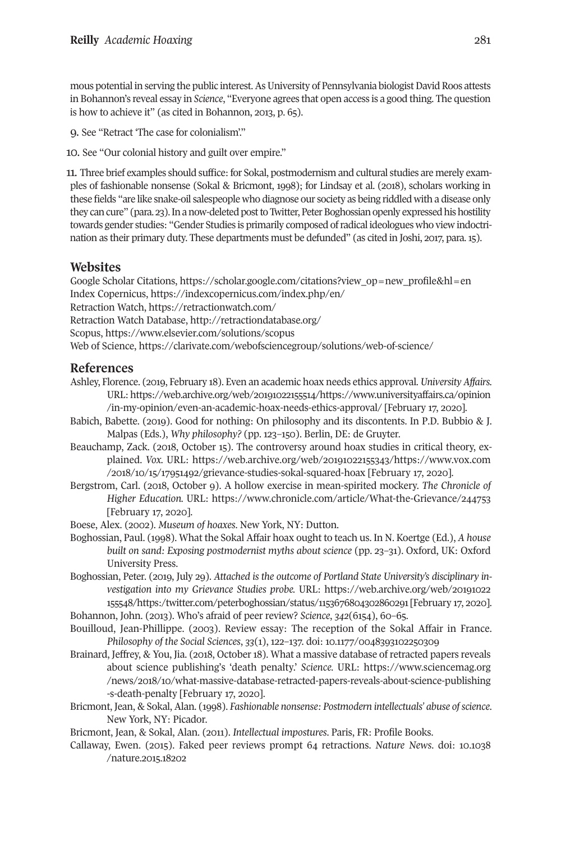mous potential in serving the public interest. As University of Pennsylvania biologist David Roos attests in Bohannon's reveal essay in *Science*, "Everyone agrees that open access is a good thing. The question is how to achieve it" (as cited in Bohannon, 2013, p. 65).

<span id="page-16-2"></span><span id="page-16-1"></span><span id="page-16-0"></span>9. See "Retract 'The case for colonialism'."

10. See "Our colonial history and guilt over empire."

11. Three brief examples should suffice: for Sokal, postmodernism and cultural studies are merely examples of fashionable nonsense (Sokal & Bricmont, 1998); for Lindsay et al. (2018), scholars working in these fields "are like snake-oil salespeople who diagnose our society as being riddled with a disease only they can cure" (para. 23). In a now-deleted post to Twitter, Peter Boghossian openly expressed his hostility towards gender studies: "Gender Studies is primarily composed of radical ideologues who view indoctrination as their primary duty. These departments must be defunded" (as cited in Joshi, 2017, para.15).

## **Websites**

Google Scholar Citations, [https://scholar.google.com/citations?view\\_op=new\\_profile&hl=en](https://scholar.google.com/citations?view_op=new_profile&hl=en) Index Copernicus, [https://indexcopernicus.com/index.php/en/](https://indexcopernicus.com/index.php/en) Retraction Watch, <https://retractionwatch.com/> Retraction Watch Database, [http://retractiondatabase.org/](http://retractiondatabase.org) Scopus, <https://www.elsevier.com/solutions/scopus> Web of Science, [https://clarivate.com/webofsciencegroup/solutions/web-of-science/](https://clarivate.com/webofsciencegroup/solutions/web-of-science)

#### **References**

- Ashley, Florence. (2019, February 18). Even an academic hoax needs ethics approval. *University Affairs.* URL: [https://web.archive.org/web/20191022155514/https://www.universityaffairs.ca/opinion](https://web.archive.org/web/20191022155514/https://www.universityaffairs.ca/opinion/in-my-opinion/even-an-academic-hoax-needs-ethics-approval) [/in-my-opinion/even-an-academic-hoax-needs-ethics-approval/](https://web.archive.org/web/20191022155514/https://www.universityaffairs.ca/opinion/in-my-opinion/even-an-academic-hoax-needs-ethics-approval) [February 17, 2020].
- Babich, Babette. (2019). Good for nothing: On philosophy and its discontents. In P.D. Bubbio & J. Malpas (Eds.), *Why philosophy?* (pp. 123–150). Berlin, DE: de Gruyter.
- Beauchamp, Zack. (2018, October 15). The controversy around hoax studies in critical theory, explained. *Vox.* URL: [https://web.archive.org/web/20191022155343/https://www.vox.com](https://web.archive.org/web/20191022155343/https://www.vox.com/2018/10/15/17951492/grievance-studies-sokal-squared-hoax) [/2018/10/15/17951492/grievance-studies-sokal-squared-hoax](https://web.archive.org/web/20191022155343/https://www.vox.com/2018/10/15/17951492/grievance-studies-sokal-squared-hoax) [February 17, 2020].
- Bergstrom, Carl. (2018, October 9). A hollow exercise in mean-spirited mockery. *The Chronicle of Higher Education.* URL: https://www.chronicle.com/article/What-the-Grievance/244753 [February 17, 2020].
- Boese, Alex. (2002). *Museum of hoaxes*. New York, NY: Dutton.
- Boghossian, Paul. (1998). What the Sokal Affair hoax ought to teach us. In N. Koertge (Ed.), *A house built on sand: Exposing postmodernist myths about science* (pp. 23–31). Oxford, UK: Oxford University Press.
- Boghossian, Peter. (2019, July 29). *Attached is the outcome of Portland State University's disciplinary investigation into my Grievance Studies probe.* URL: [https://web.archive.org/web/20191022](https://web.archive.org/web/20191022155548/https:/twitter.com/peterboghossian/status/1153676804302860291) [155548/https:/twitter.com/peterboghossian/status/1153676804302860291\[](https://web.archive.org/web/20191022155548/https:/twitter.com/peterboghossian/status/1153676804302860291)February 17, 2020]. Bohannon, John. (2013). Who's afraid of peer review? *Science*, *342*(6154), 60–65.
- Bouilloud, Jean-Phillippe. (2003). Review essay: The reception of the Sokal Affair in France.

*Philosophy of the Social Sciences*, *33*(1), 122–137. doi: [10.1177/0048393102250309](https://doi.org/10.1177/0048393102250309)

- Brainard, Jeffrey, & You, Jia. (2018, October 18). What a massive database of retracted papers reveals about science publishing's 'death penalty.' *Science.* URL: [https://www.sciencemag.org](https://www.sciencemag.org/news/2018/10/what-massive-database-retracted-papers-reveals-about-science-publishing-s-death-penalty) [/news/2018/10/what-massive-database-retracted-papers-reveals-about-science-publishing](https://www.sciencemag.org/news/2018/10/what-massive-database-retracted-papers-reveals-about-science-publishing-s-death-penalty) [-s-death-penalty](https://www.sciencemag.org/news/2018/10/what-massive-database-retracted-papers-reveals-about-science-publishing-s-death-penalty) [February 17, 2020].
- Bricmont, Jean, & Sokal, Alan. (1998). *Fashionable nonsense: Postmodern intellectuals' abuse ofscience*. New York, NY: Picador.

Bricmont, Jean, & Sokal, Alan. (2011). *Intellectual impostures*. Paris, FR: Profile Books.

Callaway, Ewen. (2015). Faked peer reviews prompt 64 retractions. *Nature News*. doi: [10.1038](https://doi.org/10.1038/nature.2015.18202) [/nature.2015.18202](https://doi.org/10.1038/nature.2015.18202)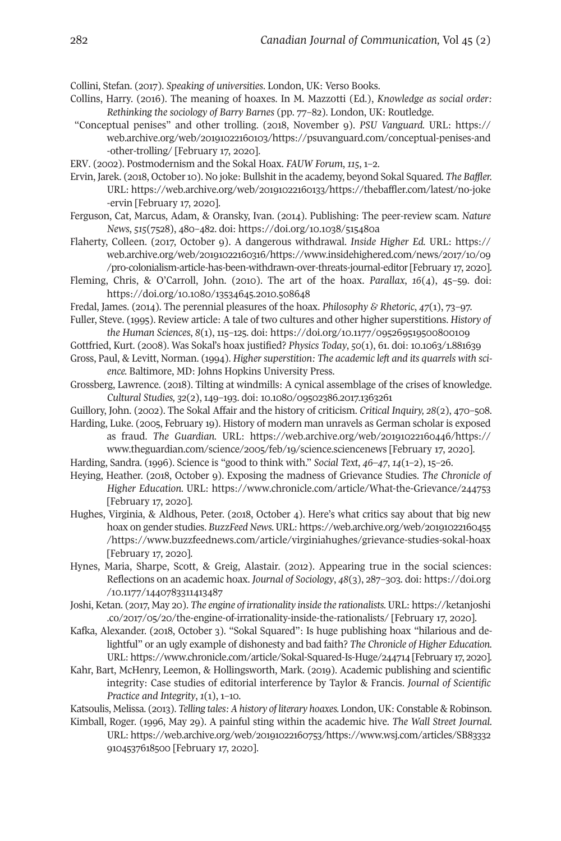Collini, Stefan. (2017). *Speaking of universities*. London, UK: Verso Books.

- Collins, Harry. (2016). The meaning of hoaxes. In M. Mazzotti (Ed.), *Knowledge as social order: Rethinking the sociology of Barry Barnes* (pp. 77–82). London, UK: Routledge.
- "Conceptual penises" and other trolling. (2018, November 9). *PSU Vanguard.* URL: [https://](https://web.archive.org/web/20191022160103/https://psuvanguard.com/conceptual-penises-and-other-trolling/) [web.archive.org/web/20191022160103/https://psuvanguard.com/conceptual-penises-and](https://web.archive.org/web/20191022160103/https://psuvanguard.com/conceptual-penises-and-other-trolling/) [-other-trolling/](https://web.archive.org/web/20191022160103/https://psuvanguard.com/conceptual-penises-and-other-trolling/) [February 17, 2020].
- ERV. (2002). Postmodernism and the Sokal Hoax. *FAUW Forum*, *115*, 1–2.
- Ervin, Jarek. (2018, October10). No joke: Bullshit in the academy, beyond Sokal Squared. *The Baffler.* URL: [https://web.archive.org/web/20191022160133/https://thebaffler.com/latest/no-joke](https://web.archive.org/web/20191022160133/https://thebaffler.com/latest/no-joke-ervin) [-ervin](https://web.archive.org/web/20191022160133/https://thebaffler.com/latest/no-joke-ervin) [February 17, 2020].
- Ferguson, Cat, Marcus, Adam, & Oransky, Ivan. (2014). Publishing: The peer-review scam. *Nature News*, *515*(7528), 480–482. doi: <https://doi.org/10.1038/515480a>
- Flaherty, Colleen. (2017, October 9). A dangerous withdrawal. *Inside Higher Ed.* URL: [https://](https://web.archive.org/web/20191022160316/https://www.insidehighered.com/news/2017/10/09/pro-colonialism-article-has-been-withdrawn-over-threats-journal-editor) [web.archive.org/web/20191022160316/https://www.insidehighered.com/news/2017/10/09](https://web.archive.org/web/20191022160316/https://www.insidehighered.com/news/2017/10/09/pro-colonialism-article-has-been-withdrawn-over-threats-journal-editor) [/pro-colonialism-article-has-been-withdrawn-over-threats-journal-editor](https://web.archive.org/web/20191022160316/https://www.insidehighered.com/news/2017/10/09/pro-colonialism-article-has-been-withdrawn-over-threats-journal-editor)[February 17, 2020].
- Fleming, Chris, & O'Carroll, John. (2010). The art of the hoax. *Parallax*, *16*(4), 45–59. doi: <https://doi.org/10.1080/13534645.2010.508648>
- Fredal, James. (2014). The perennial pleasures of the hoax. *Philosophy & Rhetoric*, *47*(1), 73–97.
- Fuller, Steve. (1995). Review article: A tale of two cultures and other higher superstitions. *History of the Human Sciences*, *8*(1), 115–125. doi: <https://doi.org/10.1177/095269519500800109>
- Gottfried, Kurt. (2008). Was Sokal's hoax justified? *Physics Today*, *50*(1), 61. doi: [10.1063/1.881639](https://doi.org/10.1063/1.881639)
- Gross, Paul, & Levitt, Norman. (1994). *Higher superstition: The academic left and its quarrels with science.* Baltimore, MD: Johns Hopkins University Press.
- Grossberg, Lawrence. (2018). Tilting at windmills: A cynical assemblage of the crises of knowledge. *Cultural Studies, 32*(2), 149–193. doi: [10.1080/09502386.2017.1363261](https://doi.org/10.1080/09502386.2017.1363261)
- Guillory, John. (2002). The Sokal Affair and the history of criticism. *Critical Inquiry, 28*(2), 470–508.
- Harding, Luke. (2005, February 19). History of modern man unravels as German scholar is exposed as fraud. *The Guardian.* URL: [https://web.archive.org/web/20191022160446/https://](https://web.archive.org/web/20191022160446/https://www.theguardian.com/science/2005/feb/19/science.sciencenews) [www.theguardian.com/science/2005/feb/19/science.sciencenews](https://web.archive.org/web/20191022160446/https://www.theguardian.com/science/2005/feb/19/science.sciencenews) [February 17, 2020].
- Harding, Sandra. (1996). Science is "good to think with." *Social Text*, *46–47*, *14*(1–2), 15–26.
- Heying, Heather. (2018, October 9). Exposing the madness of Grievance Studies. *The Chronicle of Higher Education.* URL: https://www.chronicle.com/article/What-the-Grievance/244753 [February 17, 2020].
- Hughes, Virginia, & Aldhous, Peter. (2018, October 4). Here's what critics say about that big new hoax on gender studies. *BuzzFeedNews.* URL: [https://web.archive.org/web/20191022160455](https://web.archive.org/web/20191022160455/https://www.buzzfeednews.com/article/virginiahughes/grievance-studies-sokal-hoax) [/https://www.buzzfeednews.com/article/virginiahughes/grievance-studies-sokal-hoax](https://web.archive.org/web/20191022160455/https://www.buzzfeednews.com/article/virginiahughes/grievance-studies-sokal-hoax) [February 17, 2020].
- Hynes, Maria, Sharpe, Scott, & Greig, Alastair. (2012). Appearing true in the social sciences: Reflections on an academic hoax. *Journal of Sociology*, *48*(3), 287–303. doi: [https://doi.org](https://doi.org/10.1177/1440783311413487) [/10.1177/1440783311413487](https://doi.org/10.1177/1440783311413487)
- Joshi, Ketan. (2017, May 20). *The engine of irrationality inside the rationalists.* URL: [https://ketanjoshi](https://ketanjoshi.co/2017/05/20/the-engine-of-irrationality-inside-the-rationalists) [.co/2017/05/20/the-engine-of-irrationality-inside-the-rationalists/](https://ketanjoshi.co/2017/05/20/the-engine-of-irrationality-inside-the-rationalists) [February 17, 2020].
- Kafka, Alexander. (2018, October 3). "Sokal Squared": Is huge publishing hoax "hilarious and delightful" or an ugly example of dishonesty and bad faith? *The Chronicle of Higher Education.* URL: <https://www.chronicle.com/article/Sokal-Squared-Is-Huge/244714> [February 17, 2020].
- Kahr, Bart, McHenry, Leemon, & Hollingsworth, Mark. (2019). Academic publishing and scientific integrity: Case studies of editorial interference by Taylor & Francis. *Journal of Scientific Practice and Integrity*, *1*(1), 1–10.
- Katsoulis, Melissa. (2013). *Telling tales: A history of literary hoaxes.* London,UK: Constable & Robinson.
- Kimball, Roger. (1996, May 29). A painful sting within the academic hive. *The Wall Street Journal*. URL: [https://web.archive.org/web/20191022160753/https://www.wsj.com/articles/SB83332](https://web.archive.org/web/20191022160753/https://www.wsj.com/articles/SB833329104537618500) [9104537618500](https://web.archive.org/web/20191022160753/https://www.wsj.com/articles/SB833329104537618500) [February 17, 2020].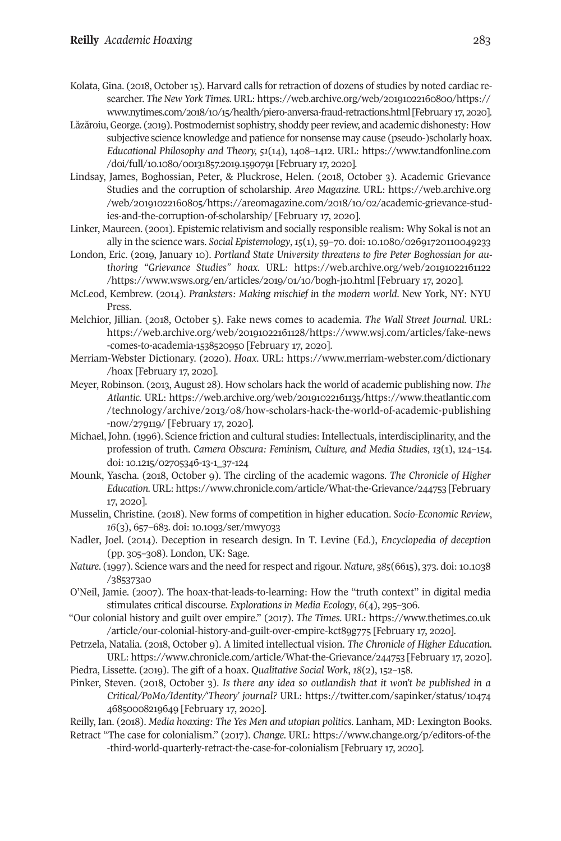- Kolata, Gina. (2018, October 15). Harvard calls for retraction of dozens of studies by noted cardiac researcher. *The New York Times.* URL: [https://web.archive.org/web/20191022160800/https://](https://web.archive.org/web/20191022160800/https://www.nytimes.com/2018/10/15/health/piero-anversa-fraud-retractions.html) [www.nytimes.com/2018/10/15/health/piero-anversa-fraud-retractions.html](https://web.archive.org/web/20191022160800/https://www.nytimes.com/2018/10/15/health/piero-anversa-fraud-retractions.html)[February 17, 2020].
- Lăzăroiu,George. (2019). Postmodernist sophistry, shoddy peerreview, and academic dishonesty: How subjective science knowledge and patience for nonsense may cause (pseudo-)scholarly hoax. *Educational Philosophy and Theory, 51*(14), 1408–1412. URL: [https://www.tandfonline.com](https://www.tandfonline.com/doi/full/10.1080/00131857.2019.1590791) [/doi/full/10.1080/00131857.2019.1590791](https://www.tandfonline.com/doi/full/10.1080/00131857.2019.1590791) [February 17, 2020].
- Lindsay, James, Boghossian, Peter, & Pluckrose, Helen. (2018, October 3). Academic Grievance Studies and the corruption of scholarship. *Areo Magazine.* URL: [https://web.archive.org](https://web.archive.org/web/20191022160805/https://areomagazine.com/2018/10/02/academic-grievance-studies-and-the-corruption-of-scholarship) [/web/20191022160805/https://areomagazine.com/2018/10/02/academic-grievance-stud](https://web.archive.org/web/20191022160805/https://areomagazine.com/2018/10/02/academic-grievance-studies-and-the-corruption-of-scholarship)[ies-and-the-corruption-of-scholarship/](https://web.archive.org/web/20191022160805/https://areomagazine.com/2018/10/02/academic-grievance-studies-and-the-corruption-of-scholarship) [February 17, 2020].
- Linker, Maureen. (2001). Epistemic relativism and socially responsible realism: Why Sokal is not an ally in the science wars. *Social Epistemology*, *15*(1), 59–70. doi: [10.1080/02691720110049233](https://doi.org/10.1080/02691720110049233)
- London, Eric. (2019, January 10). *Portland State University threatens to fire Peter Boghossian for authoring "Grievance Studies" hoax.* URL: [https://web.archive.org/web/20191022161122](https://web.archive.org/web/20191022161122/https://www.wsws.org/en/articles/2019/01/10/bogh-j10.html) [/https://www.wsws.org/en/articles/2019/01/10/bogh-j10.html](https://web.archive.org/web/20191022161122/https://www.wsws.org/en/articles/2019/01/10/bogh-j10.html) [February 17, 2020].
- McLeod, Kembrew. (2014). *Pranksters: Making mischief in the modern world*. New York, NY: NYU Press.
- Melchior, Jillian. (2018, October 5). Fake news comes to academia. *The Wall Street Journal.* URL: [https://web.archive.org/web/20191022161128/https://www.wsj.com/articles/fake-news](https://web.archive.org/web/20191022161128/https://www.wsj.com/articles/fake-news-comes-to-academia-1538520950) [-comes-to-academia-1538520950](https://web.archive.org/web/20191022161128/https://www.wsj.com/articles/fake-news-comes-to-academia-1538520950) [February 17, 2020].
- Merriam-Webster Dictionary. (2020). *Hoax*. URL: [https://www.merriam-webster.com/dictionary](https://www.merriam-webster.com/dictionary/hoax) [/hoax](https://www.merriam-webster.com/dictionary/hoax) [February 17, 2020].
- Meyer, Robinson. (2013, August 28). How scholars hack the world of academic publishing now. *The Atlantic.* URL: [https://web.archive.org/web/20191022161135/https://www.theatlantic.com](https://web.archive.org/web/20191022161135/https://www.theatlantic.com/technology/archive/2013/08/how-scholars-hack-the-world-of-academic-publishing-now/279119/) [/technology/archive/2013/08/how-scholars-hack-the-world-of-academic-publishing](https://web.archive.org/web/20191022161135/https://www.theatlantic.com/technology/archive/2013/08/how-scholars-hack-the-world-of-academic-publishing-now/279119/) [-now/279119/](https://web.archive.org/web/20191022161135/https://www.theatlantic.com/technology/archive/2013/08/how-scholars-hack-the-world-of-academic-publishing-now/279119/) [February 17, 2020].
- Michael, John. (1996). Science friction and cultural studies: Intellectuals, interdisciplinarity, and the profession of truth. *Camera Obscura: Feminism, Culture, and Media Studies*, *13*(1), 124–154. doi: [10.1215/02705346-13-1\\_37-124](https://doi.org/10.1215/02705346-13-1_37-124)
- Mounk, Yascha. (2018, October 9). The circling of the academic wagons. *The Chronicle of Higher Education.* URL: <https://www.chronicle.com/article/What-the-Grievance/244753> [February 17, 2020].
- Musselin, Christine. (2018). New forms of competition in higher education. *Socio-Economic Review*, *16*(3), 657–683. doi: [10.1093/ser/mwy033](https://doi.org/10.1093/ser/mwy033)
- Nadler, Joel. (2014). Deception in research design. In T. Levine (Ed.), *Encyclopedia of deception* (pp. 305–308). London, UK: Sage.
- *Nature*. (1997). Science wars and the need forrespect and rigour. *Nature*, *385*(6615), 373. doi[:10.1038](https://doi.org/10.1038/385373a0) [/385373a0](https://doi.org/10.1038/385373a0)
- O'Neil, Jamie. (2007). The hoax-that-leads-to-learning: How the "truth context" in digital media stimulates critical discourse. *Explorations in Media Ecology*, *6*(4), 295–306.
- "Our colonial history and guilt over empire." (2017). *The Times*. URL: [https://www.thetimes.co.uk](https://www.thetimes.co.uk/article/our-colonial-history-and-guilt-over-empire-kct89g775) [/article/our-colonial-history-and-guilt-over-empire-kct89g775](https://www.thetimes.co.uk/article/our-colonial-history-and-guilt-over-empire-kct89g775) [February 17, 2020].
- Petrzela, Natalia. (2018, October 9). A limited intellectual vision. *The Chronicle of Higher Education.* URL: <https://www.chronicle.com/article/What-the-Grievance/244753> [February 17, 2020].
- Piedra, Lissette. (2019). The gift of a hoax. *Qualitative Social Work*, *18*(2), 152–158.
- Pinker, Steven. (2018, October 3). *Is there any idea so outlandish that it won't be published in a Critical/PoMo/Identity/'Theory' journal?* URL: [https://twitter.com/sapinker/status/10474](https://twitter.com/sapinker/status/1047446850008219649) [46850008219649](https://twitter.com/sapinker/status/1047446850008219649) [February 17, 2020].
- Reilly, Ian. (2018). *Media hoaxing: The Yes Men and utopian politics*. Lanham, MD: Lexington Books.
- Retract "The case for colonialism." (2017). *Change*. URL: [https://www.change.org/p/editors-of-the](https://www.change.org/p/editors-of-the-third-world-quarterly-retract-the-case-for-colonialism) [-third-world-quarterly-retract-the-case-for-colonialism](https://www.change.org/p/editors-of-the-third-world-quarterly-retract-the-case-for-colonialism) [February 17, 2020].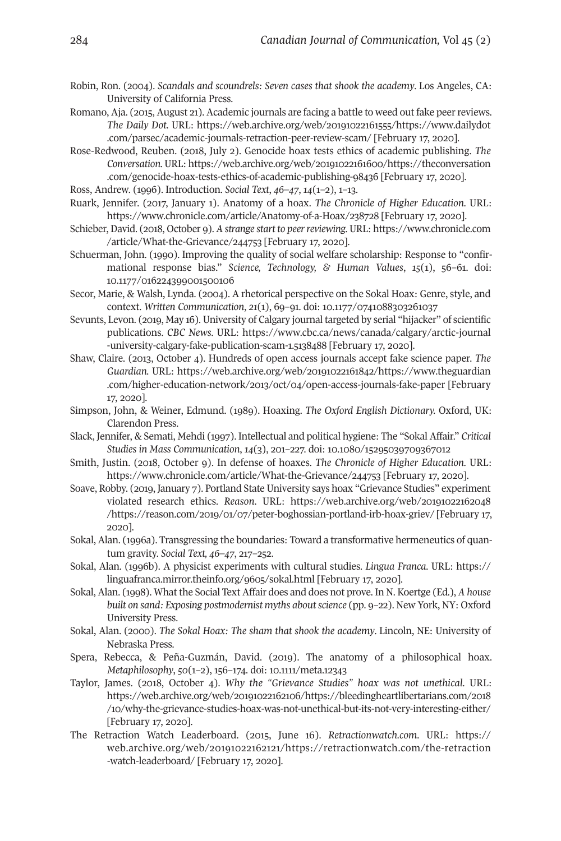- Robin, Ron. (2004). *Scandals and scoundrels: Seven cases that shook the academy*. Los Angeles, CA: University of California Press.
- Romano, Aja. (2015, August 21). Academic journals are facing a battle to weed out fake peerreviews. *The Daily Dot.* URL: [https://web.archive.org/web/20191022161555/https://www.dailydot](https://web.archive.org/web/20191022161555/https://www.dailydot.com/parsec/academic-journals-retraction-peer-review-scam) [.com/parsec/academic-journals-retraction-peer-review-scam/](https://web.archive.org/web/20191022161555/https://www.dailydot.com/parsec/academic-journals-retraction-peer-review-scam) [February 17, 2020].
- Rose-Redwood, Reuben. (2018, July 2). Genocide hoax tests ethics of academic publishing. *The Conversation.* URL: [https://web.archive.org/web/20191022161600/https://theconversation](https://web.archive.org/web/20191022161600/https://theconversation.com/genocide-hoax-tests-ethics-of-academic-publishing-98436) [.com/genocide-hoax-tests-ethics-of-academic-publishing-98436](https://web.archive.org/web/20191022161600/https://theconversation.com/genocide-hoax-tests-ethics-of-academic-publishing-98436) [February 17, 2020].
- Ross, Andrew. (1996). Introduction. *Social Text*, *46–47*, *14*(1–2), 1–13.
- Ruark, Jennifer. (2017, January 1). Anatomy of a hoax. *The Chronicle of Higher Education.* URL: <https://www.chronicle.com/article/Anatomy-of-a-Hoax/238728> [February 17, 2020].
- Schieber, David. (2018, October 9). *A strange start to peerreviewing.* URL: [https://www.chronicle.com](https://www.chronicle.com/article/What-the-Grievance/244753) [/article/What-the-Grievance/244753](https://www.chronicle.com/article/What-the-Grievance/244753) [February 17, 2020].
- Schuerman, John. (1990). Improving the quality of social welfare scholarship: Response to "confirmational response bias." *Science, Technology, & Human Values*, *15*(1), 56–61. doi: [10.1177/016224399001500106](https://doi.org/10.1177/016224399001500106)
- Secor, Marie, & Walsh, Lynda. (2004). A rhetorical perspective on the Sokal Hoax: Genre, style, and context. *Written Communication*, *21*(1), 69–91. doi: [10.1177/0741088303261037](https://doi.org/10.1177/0741088303261037)
- Sevunts, Levon. (2019, May 16). University of Calgary journal targeted by serial "hijacker" of scientific publications. *CBC News.* URL: [https://www.cbc.ca/news/canada/calgary/arctic-journal](https://www.cbc.ca/news/canada/calgary/arctic-journal-university-calgary-fake-publication-scam-1.5138488) [-university-calgary-fake-publication-scam-1.5138488](https://www.cbc.ca/news/canada/calgary/arctic-journal-university-calgary-fake-publication-scam-1.5138488) [February 17, 2020].
- Shaw, Claire. (2013, October 4). Hundreds of open access journals accept fake science paper. *The Guardian.* URL: [https://web.archive.org/web/20191022161842/https://www.theguardian](https://web.archive.org/web/20191022161842/https://www.theguardian.com/higher-education-network/2013/oct/04/open-access-journals-fake-paper) [.com/higher-education-network/2013/oct/04/open-access-journals-fake-paper](https://web.archive.org/web/20191022161842/https://www.theguardian.com/higher-education-network/2013/oct/04/open-access-journals-fake-paper) [February 17, 2020].
- Simpson, John, & Weiner, Edmund. (1989). Hoaxing. *The Oxford English Dictionary.* Oxford, UK: Clarendon Press.
- Slack, Jennifer, & Semati, Mehdi (1997). Intellectual and political hygiene: The "Sokal Affair." *Critical Studies in Mass Communication*, *14*(3), 201–227. doi: [10.1080/15295039709367012](https://doi.org/10.1080/15295039709367012)
- Smith, Justin. (2018, October 9). In defense of hoaxes. *The Chronicle of Higher Education.* URL: <https://www.chronicle.com/article/What-the-Grievance/244753> [February 17, 2020].
- Soave, Robby. (2019, January 7). Portland State University says hoax "Grievance Studies" experiment violated research ethics. *Reason*. URL: [https://web.archive.org/web/20191022162048](https://web.archive.org/web/20191022162048/https://reason.com/2019/01/07/peter-boghossian-portland-irb-hoax-griev/) [/https://reason.com/2019/01/07/peter-boghossian-portland-irb-hoax-griev/](https://web.archive.org/web/20191022162048/https://reason.com/2019/01/07/peter-boghossian-portland-irb-hoax-griev/) [February 17, 2020].
- Sokal, Alan. (1996a). Transgressing the boundaries: Toward a transformative hermeneutics of quantum gravity. *Social Text, 46–47*, 217–252.
- Sokal, Alan. (1996b). A physicist experiments with cultural studies. *Lingua Franca*. URL: [https://](https://linguafranca.mirror.theinfo.org/9605/sokal.html) [linguafranca.mirror.theinfo.org/9605/sokal.html](https://linguafranca.mirror.theinfo.org/9605/sokal.html) [February 17, 2020].
- Sokal, Alan. (1998). What the Social Text Affair does and does not prove. In N. Koertge (Ed.), *A house built on sand: Exposing postmodernist myths aboutscience* (pp. 9–22). New York, NY: Oxford University Press.
- Sokal, Alan. (2000). *The Sokal Hoax: The sham that shook the academy*. Lincoln, NE: University of Nebraska Press.
- Spera, Rebecca, & Peña-Guzmán, David. (2019). The anatomy of a philosophical hoax. *Metaphilosophy*, *50*(1–2), 156–174. doi: [10.1111/meta.12343](https://doi.org/10.1111/meta.12343)
- Taylor, James. (2018, October 4). *Why the "Grievance Studies" hoax was not unethical.* URL: [https://web.archive.org/web/20191022162106/https://bleedingheartlibertarians.com/2018](https://web.archive.org/web/20191022162106/https://bleedingheartlibertarians.com/2018/10/why-the-grievance-studies-hoax-was-not-unethical-but-its-not-very-interesting-either/) [/10/why-the-grievance-studies-hoax-was-not-unethical-but-its-not-very-interesting-either/](https://web.archive.org/web/20191022162106/https://bleedingheartlibertarians.com/2018/10/why-the-grievance-studies-hoax-was-not-unethical-but-its-not-very-interesting-either/) [February 17, 2020].
- The Retraction Watch Leaderboard. (2015, June 16). *Retractionwatch.com*. URL: [https://](https://web.archive.org/web/20191022162121/https://retractionwatch.com/the-retraction-watch-leaderboard/) [web.archive.org/web/20191022162121/https://retractionwatch.com/the-retraction](https://web.archive.org/web/20191022162121/https://retractionwatch.com/the-retraction-watch-leaderboard/) [-watch-leaderboard/](https://web.archive.org/web/20191022162121/https://retractionwatch.com/the-retraction-watch-leaderboard/) [February 17, 2020].